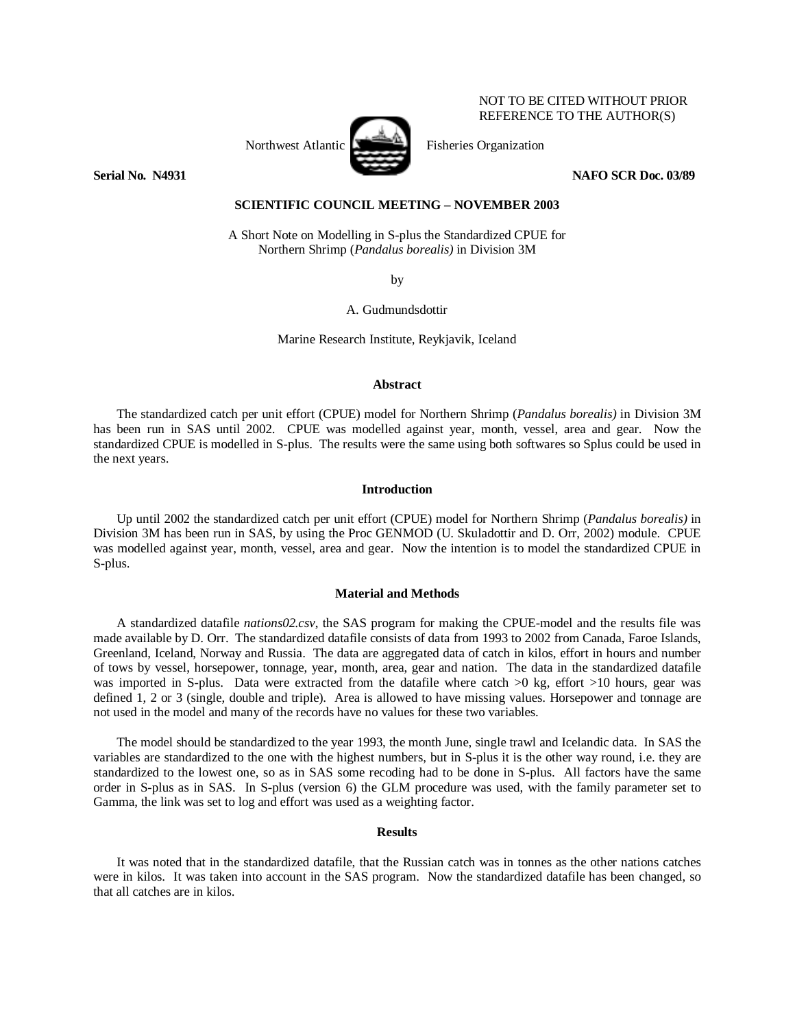# Northwest Atlantic Fisheries Organization

NOT TO BE CITED WITHOUT PRIOR REFERENCE TO THE AUTHOR(S)

**Serial No. 20031 NAFO SCR Doc. 03/89** 

## **SCIENTIFIC COUNCIL MEETING – NOVEMBER 2003**

A Short Note on Modelling in S-plus the Standardized CPUE for Northern Shrimp (*Pandalus borealis)* in Division 3M

by

A. Gudmundsdottir

Marine Research Institute, Reykjavik, Iceland

## **Abstract**

The standardized catch per unit effort (CPUE) model for Northern Shrimp (*Pandalus borealis)* in Division 3M has been run in SAS until 2002. CPUE was modelled against year, month, vessel, area and gear. Now the standardized CPUE is modelled in S-plus. The results were the same using both softwares so Splus could be used in the next years.

### **Introduction**

Up until 2002 the standardized catch per unit effort (CPUE) model for Northern Shrimp (*Pandalus borealis)* in Division 3M has been run in SAS, by using the Proc GENMOD (U. Skuladottir and D. Orr, 2002) module. CPUE was modelled against year, month, vessel, area and gear. Now the intention is to model the standardized CPUE in S-plus.

# **Material and Methods**

A standardized datafile *nations02.csv*, the SAS program for making the CPUE-model and the results file was made available by D. Orr. The standardized datafile consists of data from 1993 to 2002 from Canada, Faroe Islands, Greenland, Iceland, Norway and Russia. The data are aggregated data of catch in kilos, effort in hours and number of tows by vessel, horsepower, tonnage, year, month, area, gear and nation. The data in the standardized datafile was imported in S-plus. Data were extracted from the datafile where catch  $>0$  kg, effort  $>10$  hours, gear was defined 1, 2 or 3 (single, double and triple). Area is allowed to have missing values. Horsepower and tonnage are not used in the model and many of the records have no values for these two variables.

The model should be standardized to the year 1993, the month June, single trawl and Icelandic data. In SAS the variables are standardized to the one with the highest numbers, but in S-plus it is the other way round, i.e. they are standardized to the lowest one, so as in SAS some recoding had to be done in S-plus. All factors have the same order in S-plus as in SAS. In S-plus (version 6) the GLM procedure was used, with the family parameter set to Gamma, the link was set to log and effort was used as a weighting factor.

### **Results**

It was noted that in the standardized datafile, that the Russian catch was in tonnes as the other nations catches were in kilos. It was taken into account in the SAS program. Now the standardized datafile has been changed, so that all catches are in kilos.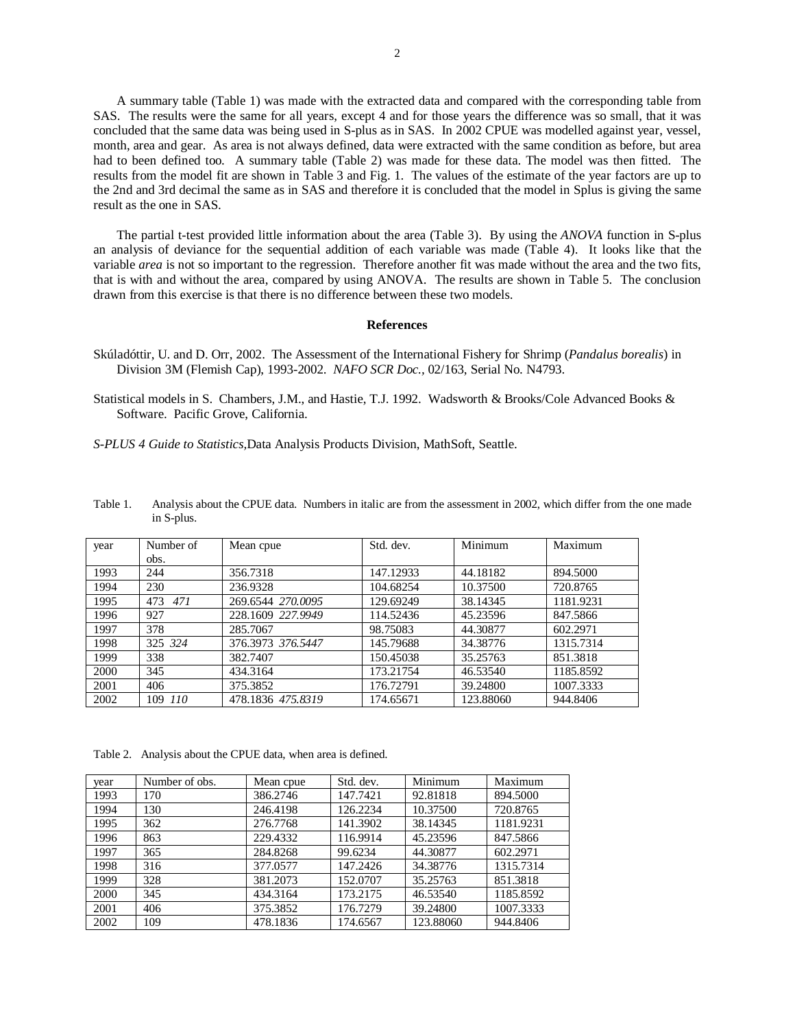A summary table (Table 1) was made with the extracted data and compared with the corresponding table from SAS. The results were the same for all years, except 4 and for those years the difference was so small, that it was concluded that the same data was being used in S-plus as in SAS. In 2002 CPUE was modelled against year, vessel, month, area and gear. As area is not always defined, data were extracted with the same condition as before, but area had to been defined too. A summary table (Table 2) was made for these data. The model was then fitted. The results from the model fit are shown in Table 3 and Fig. 1. The values of the estimate of the year factors are up to the 2nd and 3rd decimal the same as in SAS and therefore it is concluded that the model in Splus is giving the same result as the one in SAS.

The partial t-test provided little information about the area (Table 3). By using the *ANOVA* function in S-plus an analysis of deviance for the sequential addition of each variable was made (Table 4). It looks like that the variable *area* is not so important to the regression. Therefore another fit was made without the area and the two fits, that is with and without the area, compared by using ANOVA. The results are shown in Table 5. The conclusion drawn from this exercise is that there is no difference between these two models.

### **References**

- Skúladóttir, U. and D. Orr, 2002. The Assessment of the International Fishery for Shrimp (*Pandalus borealis*) in Division 3M (Flemish Cap), 1993-2002. *NAFO SCR Doc.,* 02/163, Serial No. N4793.
- Statistical models in S. Chambers, J.M., and Hastie, T.J. 1992. Wadsworth & Brooks/Cole Advanced Books & Software. Pacific Grove, California.

*S-PLUS 4 Guide to Statistics,*Data Analysis Products Division, MathSoft, Seattle.

| year | Number of  | Mean cpue         | Std. dev. | Minimum   | Maximum   |
|------|------------|-------------------|-----------|-----------|-----------|
|      | obs.       |                   |           |           |           |
| 1993 | 244        | 356.7318          | 147.12933 | 44.18182  | 894.5000  |
| 1994 | 230        | 236.9328          | 104.68254 | 10.37500  | 720.8765  |
| 1995 | 471<br>473 | 269.6544 270.0095 | 129.69249 | 38.14345  | 1181.9231 |
| 1996 | 927        | 228.1609 227.9949 | 114.52436 | 45.23596  | 847.5866  |
| 1997 | 378        | 285.7067          | 98.75083  | 44.30877  | 602.2971  |
| 1998 | 325 324    | 376.3973 376.5447 | 145.79688 | 34.38776  | 1315.7314 |
| 1999 | 338        | 382.7407          | 150.45038 | 35.25763  | 851.3818  |
| 2000 | 345        | 434.3164          | 173.21754 | 46.53540  | 1185.8592 |
| 2001 | 406        | 375.3852          | 176.72791 | 39.24800  | 1007.3333 |
| 2002 | 109 110    | 478.1836 475.8319 | 174.65671 | 123.88060 | 944.8406  |

Table 1. Analysis about the CPUE data. Numbers in italic are from the assessment in 2002, which differ from the one made in S-plus.

Table 2. Analysis about the CPUE data, when area is defined.

| vear | Number of obs. | Mean cpue | Std. dev. | Minimum   | Maximum   |
|------|----------------|-----------|-----------|-----------|-----------|
| 1993 | 170            | 386.2746  | 147.7421  | 92.81818  | 894.5000  |
| 1994 | 130            | 246.4198  | 126.2234  | 10.37500  | 720.8765  |
| 1995 | 362            | 276.7768  | 141.3902  | 38.14345  | 1181.9231 |
| 1996 | 863            | 229.4332  | 116.9914  | 45.23596  | 847.5866  |
| 1997 | 365            | 284.8268  | 99.6234   | 44.30877  | 602.2971  |
| 1998 | 316            | 377.0577  | 147.2426  | 34.38776  | 1315.7314 |
| 1999 | 328            | 381.2073  | 152.0707  | 35.25763  | 851.3818  |
| 2000 | 345            | 434.3164  | 173.2175  | 46.53540  | 1185.8592 |
| 2001 | 406            | 375.3852  | 176.7279  | 39.24800  | 1007.3333 |
| 2002 | 109            | 478.1836  | 174.6567  | 123.88060 | 944.8406  |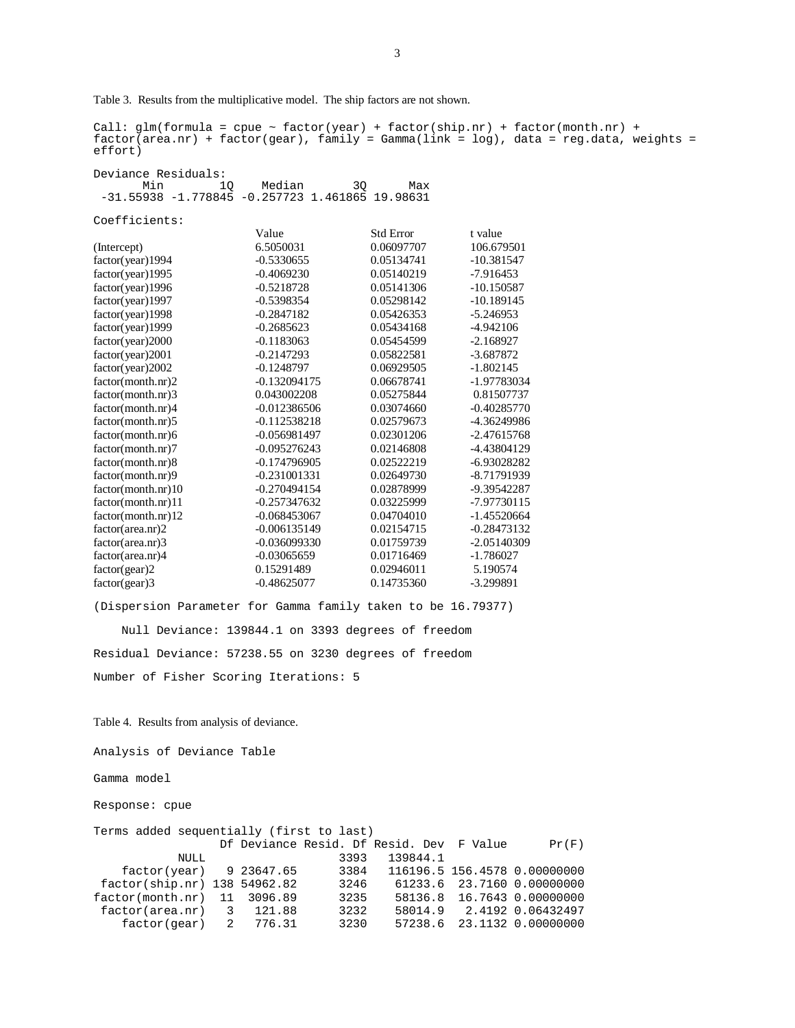Table 3. Results from the multiplicative model. The ship factors are not shown.

<code>Call: glm(formula = cpue ~ factor(year) + factor(ship.nr) + factor(month.nr) +  $\frac{1}{2}$ </sup></code>  $factor(\text{area.nr})$  +  $factor(\text{year})$ ,  $family = Gamma(\text{link} = \text{log})$ ,  $data = reg.data$ , weights = effort)

Deviance Residuals: Min 1Q Median 3Q Max -31.55938 -1.778845 -0.257723 1.461865 19.98631

Coefficients:

|                    | Value          | <b>Std Error</b> | t value       |
|--------------------|----------------|------------------|---------------|
| (Intercept)        | 6.5050031      | 0.06097707       | 106.679501    |
| factor(year)1994   | $-0.5330655$   | 0.05134741       | $-10.381547$  |
| factor(year)1995   | $-0.4069230$   | 0.05140219       | $-7.916453$   |
| factor(year)1996   | $-0.5218728$   | 0.05141306       | $-10.150587$  |
| factor(year)1997   | $-0.5398354$   | 0.05298142       | $-10.189145$  |
| factor(year)1998   | $-0.2847182$   | 0.05426353       | $-5.246953$   |
| factor(year)1999   | $-0.2685623$   | 0.05434168       | $-4.942106$   |
| factor(year)2000   | $-0.1183063$   | 0.05454599       | $-2.168927$   |
| factor(year)2001   | $-0.2147293$   | 0.05822581       | $-3.687872$   |
| factor(year)2002   | $-0.1248797$   | 0.06929505       | $-1.802145$   |
| factor(month.nr)2  | $-0.132094175$ | 0.06678741       | -1.97783034   |
| factor(month.nr)3  | 0.043002208    | 0.05275844       | 0.81507737    |
| factor(month.nr)4  | $-0.012386506$ | 0.03074660       | $-0.40285770$ |
| factor(month.nr)5  | $-0.112538218$ | 0.02579673       | -4.36249986   |
| factor(month.nr)6  | $-0.056981497$ | 0.02301206       | $-2.47615768$ |
| factor(month.nr)7  | $-0.095276243$ | 0.02146808       | -4.43804129   |
| factor(month.nr)8  | $-0.174796905$ | 0.02522219       | -6.93028282   |
| factor(month.nr)9  | $-0.231001331$ | 0.02649730       | -8.71791939   |
| factor(month.nr)10 | $-0.270494154$ | 0.02878999       | -9.39542287   |
| factor(month.nr)11 | $-0.257347632$ | 0.03225999       | -7.97730115   |
| factor(month.nr)12 | $-0.068453067$ | 0.04704010       | $-1.45520664$ |
| factor(area.nr)2   | $-0.006135149$ | 0.02154715       | $-0.28473132$ |
| factor(area.nr)3   | $-0.036099330$ | 0.01759739       | $-2.05140309$ |
| factor(area.nr)4   | $-0.03065659$  | 0.01716469       | $-1.786027$   |
| factor(gear)2      | 0.15291489     | 0.02946011       | 5.190574      |
| factor(gear)3      | $-0.48625077$  | 0.14735360       | $-3.299891$   |

(Dispersion Parameter for Gamma family taken to be 16.79377)

 Null Deviance: 139844.1 on 3393 degrees of freedom Residual Deviance: 57238.55 on 3230 degrees of freedom Number of Fisher Scoring Iterations: 5

Table 4. Results from analysis of deviance.

Analysis of Deviance Table

Gamma model

Response: cpue

| Terms added sequentially (first to last) |  |        |      |                                          |  |                              |
|------------------------------------------|--|--------|------|------------------------------------------|--|------------------------------|
|                                          |  |        |      | Df Deviance Resid. Df Resid. Dev F Value |  | Pr(F)                        |
| NULL                                     |  |        | 3393 | 139844.1                                 |  |                              |
| $factor(year)$ 9 23647.65                |  |        | 3384 |                                          |  | 116196.5 156.4578 0.00000000 |
| factor(ship.nr) 138 54962.82             |  |        | 3246 |                                          |  | 61233.6 23.7160 0.00000000   |
| $factor(month.nr)$ 11 3096.89            |  |        | 3235 |                                          |  | 58136.8 16.7643 0.00000000   |
| $factor(area.nr)$ 3 121.88               |  |        | 3232 |                                          |  | 58014.9 2.4192 0.06432497    |
| factor(gear) 2                           |  | 776.31 | 3230 | 57238.6                                  |  | 23.1132 0.00000000           |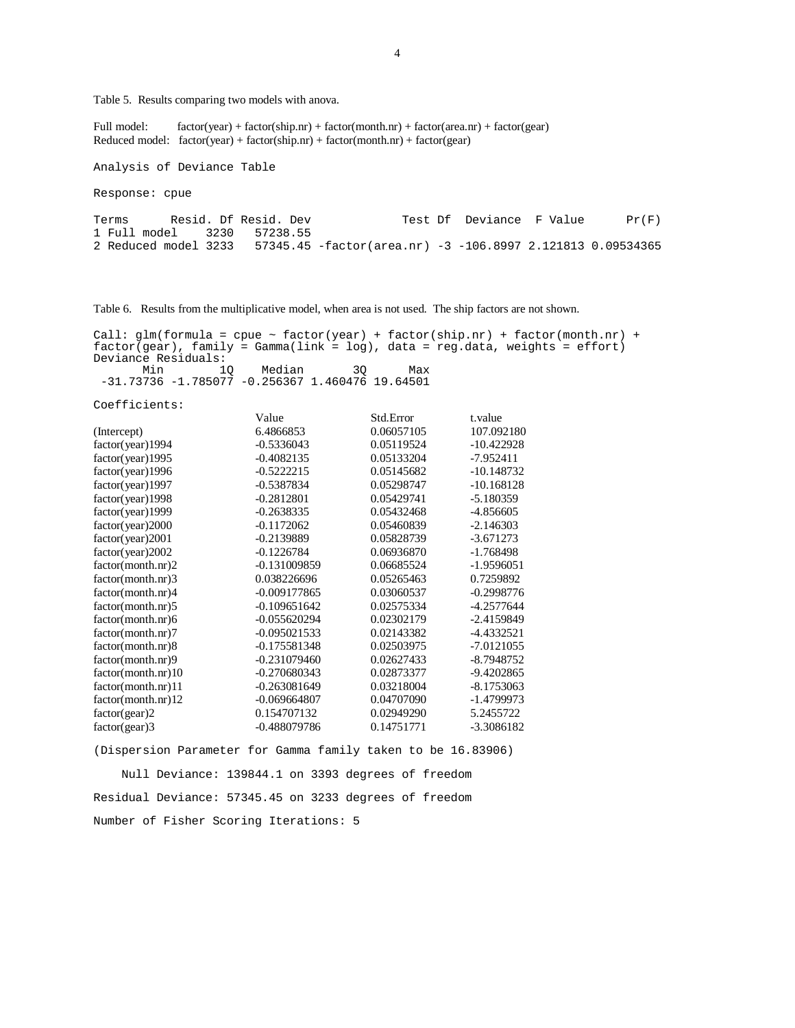Table 5. Results comparing two models with anova.

Full model: factor(year) + factor(ship.nr) + factor(month.nr) + factor(area.nr) + factor(gear) Reduced model:  $factor(year) + factor(ship.nr) + factor(month.nr) + factor(gear)$ 

Analysis of Deviance Table

Response: cpue

Terms Resid. Df Resid. Dev Test Df Deviance F Value Pr(F) 1 Full model 3230 57238.55 2 Reduced model 3233 57345.45 -factor(area.nr) -3 -106.8997 2.121813 0.09534365

Table 6. Results from the multiplicative model, when area is not used. The ship factors are not shown.

Call:  $glm(formula = cque ~ factor(year) + factor(ship.nr) + factor(month.nr) +$ factor(gear), family = Gamma(link = log), data = reg.data, weights = effort) Deviance Residuals: Min 1Q Median 3Q Max -31.73736 -1.785077 -0.256367 1.460476 19.64501

Coefficients:

|                    | Value          | Std.Error  | t.value      |
|--------------------|----------------|------------|--------------|
| (Intercept)        | 6.4866853      | 0.06057105 | 107.092180   |
| factor(year)1994   | $-0.5336043$   | 0.05119524 | $-10.422928$ |
| factor(year)1995   | $-0.4082135$   | 0.05133204 | $-7.952411$  |
| factor(year)1996   | $-0.5222215$   | 0.05145682 | $-10.148732$ |
| factor(year) 1997  | $-0.5387834$   | 0.05298747 | $-10.168128$ |
| factor(year)1998   | $-0.2812801$   | 0.05429741 | $-5.180359$  |
| factor(year)1999   | $-0.2638335$   | 0.05432468 | -4.856605    |
| factor(year)2000   | $-0.1172062$   | 0.05460839 | $-2.146303$  |
| factor(year)2001   | $-0.2139889$   | 0.05828739 | $-3.671273$  |
| factor (year) 2002 | $-0.1226784$   | 0.06936870 | $-1.768498$  |
| factor(month.nr)2  | -0.131009859   | 0.06685524 | $-1.9596051$ |
| factor(month.nr)3  | 0.038226696    | 0.05265463 | 0.7259892    |
| factor(month.nr)4  | $-0.009177865$ | 0.03060537 | $-0.2998776$ |
| factor(month.nr)5  | $-0.109651642$ | 0.02575334 | $-4.2577644$ |
| factor(month.nr)6  | $-0.055620294$ | 0.02302179 | $-2.4159849$ |
| factor(month.nr)7  | $-0.095021533$ | 0.02143382 | -4.4332521   |
| factor(month.nr)8  | $-0.175581348$ | 0.02503975 | $-7.0121055$ |
| factor(month.nr)9  | $-0.231079460$ | 0.02627433 | -8.7948752   |
| factor(month.nr)10 | $-0.270680343$ | 0.02873377 | -9.4202865   |
| factor(month.nr)11 | $-0.263081649$ | 0.03218004 | $-8.1753063$ |
| factor(month.nr)12 | $-0.069664807$ | 0.04707090 | -1.4799973   |
| factor(gear)2      | 0.154707132    | 0.02949290 | 5.2455722    |
| $factor( gear)$ 3  | -0.488079786   | 0.14751771 | -3.3086182   |

(Dispersion Parameter for Gamma family taken to be 16.83906)

 Null Deviance: 139844.1 on 3393 degrees of freedom Residual Deviance: 57345.45 on 3233 degrees of freedom Number of Fisher Scoring Iterations: 5